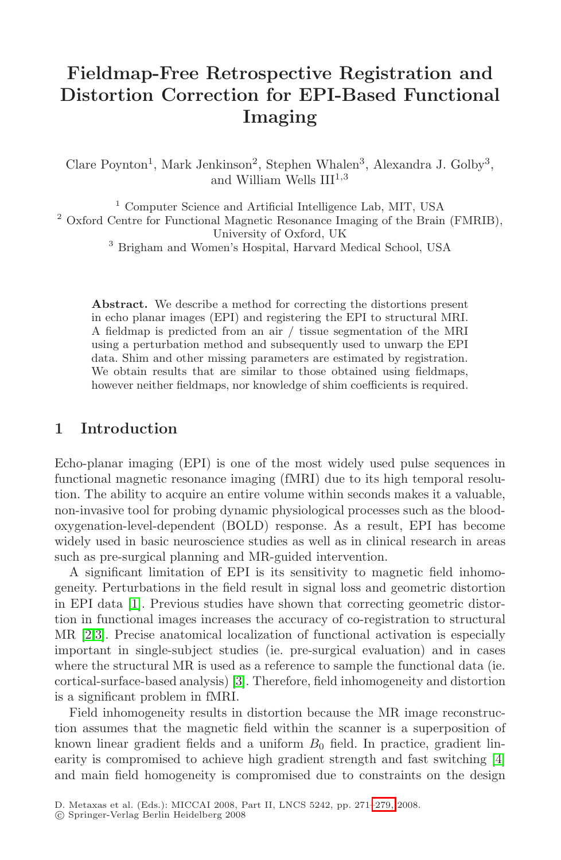# **Fieldmap-Free Retrospective Registration and Distortion Correction for EPI-Based Functional Imaging**

Clare Poynton<sup>1</sup>, Mark Jenkinson<sup>2</sup>, Stephen Whalen<sup>3</sup>, Alexandra J. Golby<sup>3</sup>, and William Wells III<sup>1</sup>*,*<sup>3</sup>

<sup>1</sup> Computer Science and Artificial Intelligence Lab, MIT, USA <sup>2</sup> Oxford Centre for Functional Magnetic Resonance Imaging of the Brain (FMRIB),  $^3$  Brigham and Women's Hospital, Harvard Medical School, USA  $^3$ 

**Abstract.** We describe a method for correcting the distortions present in echo planar images (EPI) and registering the EPI to structural MRI. A fieldmap is predicted from an air / tissue segmentation of the MRI using a perturbation method and subsequently used to unwarp the EPI data. Shim and other missing parameters are estimated by registration. We obtain results that are similar to those obtained using fieldmaps, however neither fieldmaps, nor knowledge of shim coefficients is required.

### **1 Introduction**

Echo-planar imaging (EPI) is one of the most widely used pulse sequences in functional magnetic resonance imaging (fMRI) due to its high temporal resolution. The ability to acquire an entire volume within seconds makes it a valuable, non-invasive tool for probing dynamic physiological processes such as the bloodoxygenation-level-dependent (BOLD) response. As a result, EPI has become widely used in basic neuroscience studies as well as in clinical research in areas such as pre-surgical planning and MR-guided intervention.

A significant limitation of EPI is its sensitivity to magnetic field inhomogeneity. Perturbations in the field result in signal loss and geometric distortion in EPI data [1]. Previous studies have shown that correcting geometric distortion in functional images increases the accuracy of co-registration to structural MR [2,3]. Precise anatomical localization of functional activation is especially important in single-subject studies (ie. pre-surgical evaluation) and in cases where the structural MR is used as a reference to sample the functional data (ie. cortical-surface-based analysis) [3]. T[heref](#page-8-0)ore, field inhomogeneity and distortion is a significant problem in fMRI.

Field inhomogeneity results in distortion because the MR image reconstruction assumes that the magnetic field within the scanner is a superposition of known linear gradient fields and a uniform  $B_0$  field. In practice, gradient linearity is compromised to achieve high gradient strength and fast switching [4] and main field homogeneity is compromised due to constraints on the design

D. Metaxas et al. (Eds.): MICCAI 2008, Part II, LNCS 5242, pp. 271–279, 2008.

<sup>-</sup>c Springer-Verlag Berlin Heidelberg 2008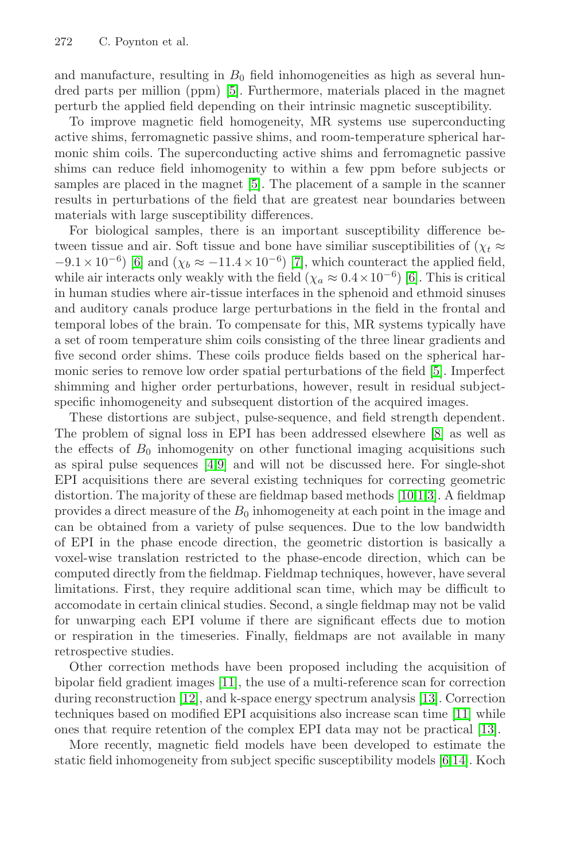272 C. Poynton et al.

and manufacture, resulting in  $B_0$  field inhomogeneities as high as several hundred parts per million (ppm) [5]. Furthermore, materials placed in the magnet perturb the applied field depending on their intrinsic magnetic susceptibility.

To improve magnetic field homogeneity, MR systems use superconducting active shims, ferromagnetic passive shims, and room-temperature spherical harmonic shim coils. The superconducting active shims and ferromagnetic passive shims can reduce field inhomogenity to within a few ppm before subjects or samples are placed in the magnet [5]. The placement of a sample in the scanner results in perturbations of the field that are greatest near boundaries between materials with large susceptibility differences.

For biological samples, there is an important susceptibility difference between tissue and air. Soft tissue and bone have similiar susceptibilities of  $(\chi_t \approx$  $-9.1 \times 10^{-6}$ ) [6] and  $(\chi_b \approx -11.4 \times 10^{-6})$  [7], which counteract the applied field, while air interacts only weakly with the field  $(\chi_a \approx 0.4 \times 10^{-6})$  [6]. This is critical in human studies where air-tissue interfaces in the sphenoid and ethmoid sinuses and auditory canals produce large perturbations in the field in the frontal and temporal lobes of the brain. To compensate for this, MR systems typically have a set of room temperature shim coils consisting of the three linear gradients and five second order shims. These coils produce fields based on the spherical harmonic series to remove low order spatial perturbations of the field [5]. Imperfect shimming and higher order perturbations, however, result in residual subjectspecific inhomogeneity and subsequent distortion of the acquired images.

These distortions are subject, pulse-sequence, and field strength dependent. The problem of signal loss in EPI has been addressed elsewhere [8] as well as the effects of  $B_0$  inhomogenity on other functional imaging acquisitions such as spiral pulse sequences [4,9] and will not be discussed here. For single-shot EPI acquisitions there are several existing techniques for correcting geometric distortion. The majority of these are fieldmap based methods [10,1,3]. A fieldmap provides a direct measure of the  $B_0$  inhomogeneity at each point in the image and can be obtained from a variety of pulse sequences. Due to the low bandwidth of EPI in the phase encode direction, the geometric distortion is basically a voxel-wise translation restricted to the phase-encode direction, which can be computed directly from the fieldmap. Fieldmap techniques, however, have several limitations. First, they require additional scan time, which may be difficult to accomodate in certain clinical studies. Second, a single fieldmap may not be valid for unwarping each EPI volume if there are significant effects due to motion or respiration in the timeseries. Finally, fieldmaps are not available in many retrospective studies.

Other correction methods have been proposed including the acquisition of bipolar field gradient images [11], the use of a multi-reference scan for correction during reconstruction [12], and k-space energy spectrum analysis [13]. Correction techniques based on modified EPI acquisitions also increase scan time [11] while ones that require retention of the complex EPI data may not be practical [13].

More recently, magnetic field models have been developed to estimate the static field inhomogeneity from subject specific susceptibility models [6,14]. Koch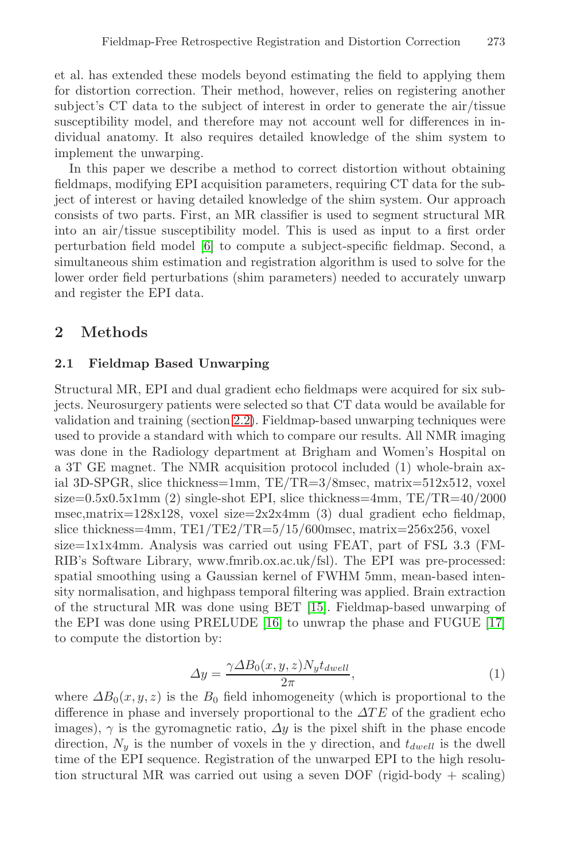et al. has extended these models beyond estimating the field to applying them for distortion correction. Their method, however, relies on registering another subject's CT data to the subject of interest in order to generate the air/tissue susceptibility model, and therefore may not account well for differences in individual anatomy. It also requires detailed knowledge of the shim system to implement the unwarping.

In this paper we describe a method to correct distortion without obtaining fieldmaps, modifying EPI acquisition parameters, requiring CT data for the subject of interest or having detailed knowledge of the shim system. Our approach consists of two parts. First, an MR classifier is used to segment structural MR into an air/tissue susceptibility model. This is used as input to a first order perturbation field model [6] to compute a subject-specific fieldmap. Second, a simultaneous shim estimation and registration algorithm is used to solve for the lower order field perturbations (shim parameters) needed to accurately unwarp and register the EPI data.

### **2 Methods**

#### **2.1 Fieldmap Based Unwarping**

Structural MR, EPI and dual gradient echo fieldmaps were acquired for six subjects. Neurosurgery patients were selected so that CT data would be available for validation and training (section 2.2). Fieldmap-based unwarping techniques were used to provide a standard with which to compare our results. All NMR imaging was done in the Radiology department at Brigham and Women's Hospital on a 3T GE magnet. The NMR acquisition protocol included (1) whole-brain axial 3D-SPGR, slice thickness=1mm, TE/TR=3/8msec, matrix=512x512, voxel  $size=0.5x0.5x1mm$  (2) single-shot EPI, slice thickness=4mm, TE/TR=40/2000 msec,matrix=128x128, voxel size=2x2x4mm (3) dual gradient echo fieldmap, slice thickness=4mm, TE1/TE2/TR=5/15/600msec, matrix=256x256, voxel  $size=1x1x4mm$ . Analysis was carried out using FEAT, part of FSL 3.3 (FM-RIB's Software Library, www.fmrib.ox.ac.uk/fsl). The EPI was pre-processed: spatial smoothing using a Gaussian kernel of FWHM 5mm, mean-based intensity normalisation, and highpass temporal filtering was applied. Brain extraction of the structural MR was done using BET [15]. Fieldmap-based unwarping of the EPI was done using PRELUDE [16] to unwrap the phase and FUGUE [17] to compute the distortion by:

$$
\Delta y = \frac{\gamma \Delta B_0(x, y, z) N_y t_{dwell}}{2\pi},\tag{1}
$$

where  $\Delta B_0(x, y, z)$  is the  $B_0$  field inhomogeneity (which is proportional to the difference in phase and inversely proportional to the  $\Delta TE$  of the gradient echo images),  $\gamma$  is the gyromagnetic ratio,  $\Delta y$  is the pixel shift in the phase encode direction,  $N_y$  is the number of voxels in the y direction, and  $t_{dwell}$  is the dwell time of the EPI sequence. Registration of the unwarped EPI to the high resolution structural MR was carried out using a seven DOF (rigid-body + scaling)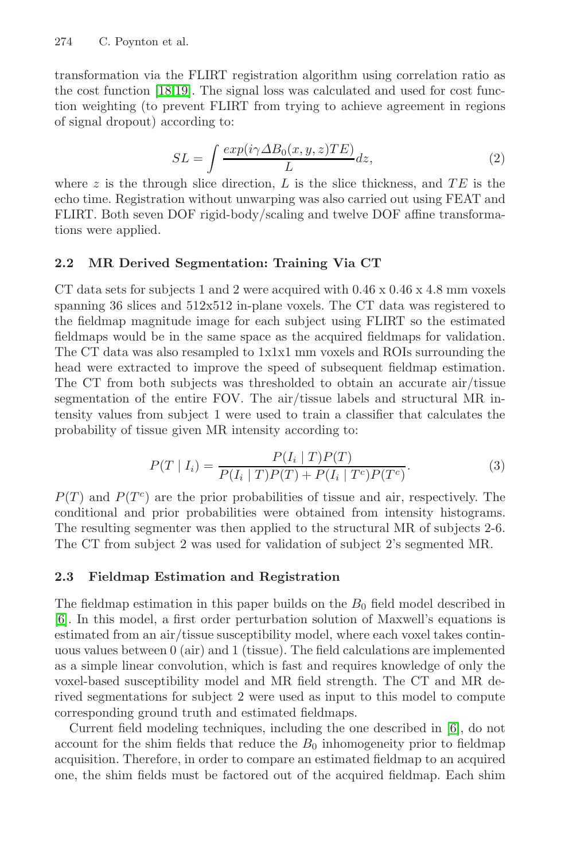#### 274 C. Poynton et al.

transformation via the FLIRT registration algorithm using correlation ratio as the cost function [18,19]. The signal loss was calculated and used for cost function weighting (to prevent FLIRT from trying to achieve agreement in regions of signal dropout) according to:

$$
SL = \int \frac{exp(i\gamma \Delta B_0(x, y, z)TE)}{L} dz,
$$
\n(2)

where z is the through slice direction, L is the slice thickness, and  $TE$  is the echo time. Registration without unwarping was also carried out using FEAT and FLIRT. Both seven DOF rigid-body/scaling and twelve DOF affine transformations were applied.

#### **2.2 MR Derived Segmentation: Training Via CT**

CT data sets for subjects 1 and 2 were acquired with  $0.46 \times 0.46 \times 4.8$  mm voxels spanning 36 slices and 512x512 in-plane voxels. The CT data was registered to the fieldmap magnitude image for each subject using FLIRT so the estimated fieldmaps would be in the same space as the acquired fieldmaps for validation. The CT data was also resampled to 1x1x1 mm voxels and ROIs surrounding the head were extracted to improve the speed of subsequent fieldmap estimation. The CT from both subjects was thresholded to obtain an accurate air/tissue segmentation of the entire FOV. The air/tissue labels and structural MR intensity values from subject 1 were used to train a classifier that calculates the probability of tissue given MR intensity according to:

$$
P(T | I_i) = \frac{P(I_i | T)P(T)}{P(I_i | T)P(T) + P(I_i | T^c)P(T^c)}.
$$
\n(3)

 $P(T)$  and  $P(T<sup>c</sup>)$  are the prior probabilities of tissue and air, respectively. The conditional and prior probabilities were obtained from intensity histograms. The resulting segmenter was then applied to the structural MR of subjects 2-6. The CT from subject 2 was used for validation of subject 2's segmented MR.

#### **2.3 Fieldmap Estimation and Registration**

The fieldmap estimation in this paper builds on the  $B_0$  field model described in [6]. In this model, a first order perturbation solution of Maxwell's equations is estimated from an air/tissue susceptibility model, where each voxel takes continuous values between 0 (air) and 1 (tissue). The field calculations are implemented as a simple linear convolution, which is fast and requires knowledge of only the voxel-based susceptibility model and MR field strength. The CT and MR derived segmentations for subject 2 were used as input to this model to compute corresponding ground truth and estimated fieldmaps.

Current field modeling techniques, including the one described in [6], do not account for the shim fields that reduce the  $B_0$  inhomogeneity prior to fieldmap acquisition. Therefore, in order to compare an estimated fieldmap to an acquired one, the shim fields must be factored out of the acquired fieldmap. Each shim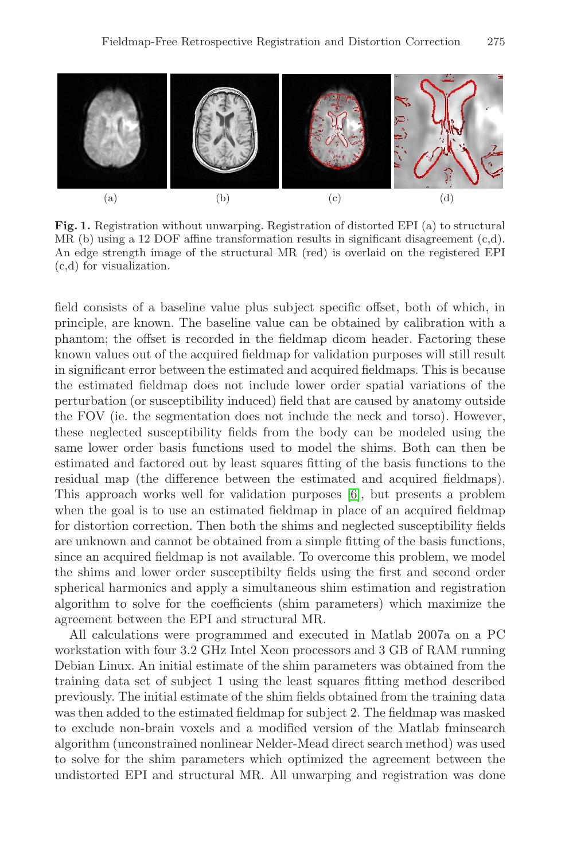

**Fig. 1.** Registration without unwarping. Registration of distorted EPI (a) to structural MR (b) using a 12 DOF affine transformation results in significant disagreement  $(c,d)$ . An edge strength image of the structural MR (red) is overlaid on the registered EPI (c,d) for visualization.

field consists of a baseline value plus subject specific offset, both of which, in principle, are known. The baseline value can be obtained by calibration with a phantom; the offset is recorded in the fieldmap dicom header. Factoring these known values out of the acquired fieldmap for validation purposes will still result in significant error between the estimated and acquired fieldmaps. This is because the estimated fieldmap does not include lower order spatial variations of the perturbation (or susceptibility induced) field that are caused by anatomy outside the FOV (ie. the segmentation does not include the neck and torso). However, these neglected susceptibility fields from the body can be modeled using the same lower order basis functions used to model the shims. Both can then be estimated and factored out by least squares fitting of the basis functions to the residual map (the difference between the estimated and acquired fieldmaps). This approach works well for validation purposes [6], but presents a problem when the goal is to use an estimated fieldmap in place of an acquired fieldmap for distortion correction. Then both the shims and neglected susceptibility fields are unknown and cannot be obtained from a simple fitting of the basis functions, since an acquired fieldmap is not available. To overcome this problem, we model the shims and lower order susceptibilty fields using the first and second order spherical harmonics and apply a simultaneous shim estimation and registration algorithm to solve for the coefficients (shim parameters) which maximize the agreement between the EPI and structural MR.

All calculations were programmed and executed in Matlab 2007a on a PC workstation with four 3.2 GHz Intel Xeon processors and 3 GB of RAM running Debian Linux. An initial estimate of the shim parameters was obtained from the training data set of subject 1 using the least squares fitting method described previously. The initial estimate of the shim fields obtained from the training data was then added to the estimated fieldmap for subject 2. The fieldmap was masked to exclude non-brain voxels and a modified version of the Matlab fminsearch algorithm (unconstrained nonlinear Nelder-Mead direct search method) was used to solve for the shim parameters which optimized the agreement between the undistorted EPI and structural MR. All unwarping and registration was done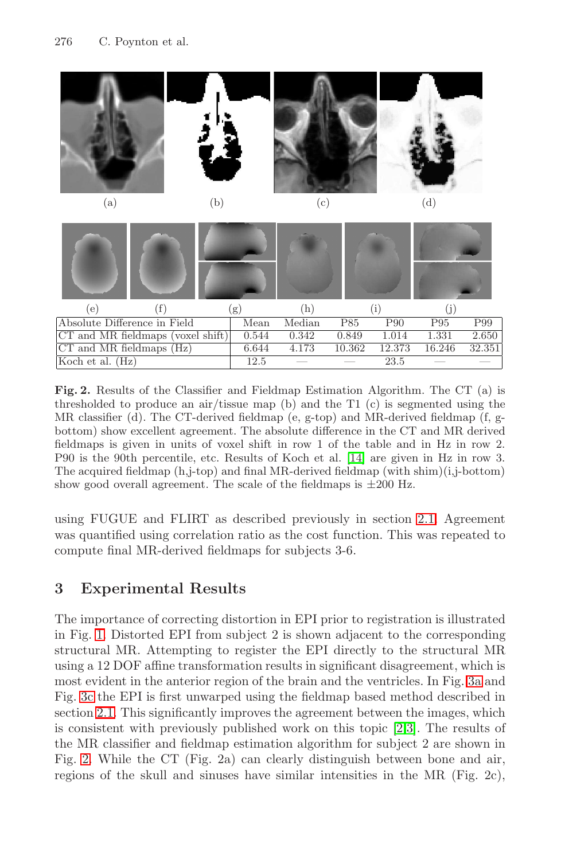#### 276 C. Poynton et al.



**Fig. 2.** Results of the Classifier and Fieldmap Estimation Algorithm. The CT (a) is thresholded to produce an air/tissue map  $(b)$  and the T1  $(c)$  is segmented using the MR classifier (d). The CT-derived fieldmap (e, g-top) and MR-derived fieldmap (f, gbottom) show excellent agreement. The absolute difference in the CT and MR derived fieldmaps is given in units of voxel shift in row 1 of the table and in Hz in row 2. P90 is the 90th percentile, etc. Results of Koch et al. [14] are given in Hz in row 3. The acquired fieldmap (h,j-top) and final MR-derived fieldmap (with shim)(i,j-bottom) show good overall agreement. The scale of the fieldmaps is *±*200 Hz.

using FUGUE and FLIRT as described previously in section 2.1. Agreement was quantified using correlation ratio as the cost function. This was repeated to compute final MR-derived fieldmaps for subjects 3-6.

### **3 Experimental Results**

The importance of correcting distortion in EPI prior to registration is illustrated in Fig. 1. Distorted EPI from subject 2 is shown adjacent to the corresponding structural MR. Attempting to register the EPI directly to the structural MR using a 12 DOF affine transformation results in significant disagreement, which is most evident in the anterior region of the brain and the ventricles. In Fig. 3a and Fig. 3c the EPI is first unwarped using the fieldmap based method described in section 2.1. This significantly improves the agreement between the images, which is consistent with previously published work on this topic [2,3]. The results of the MR classifier and fieldmap estimation algorithm for subject 2 are shown in Fig. 2. While the CT (Fig. 2a) can clearly distinguish between bone and air, regions of the skull and sinuses have similar intensities in the MR (Fig. 2c),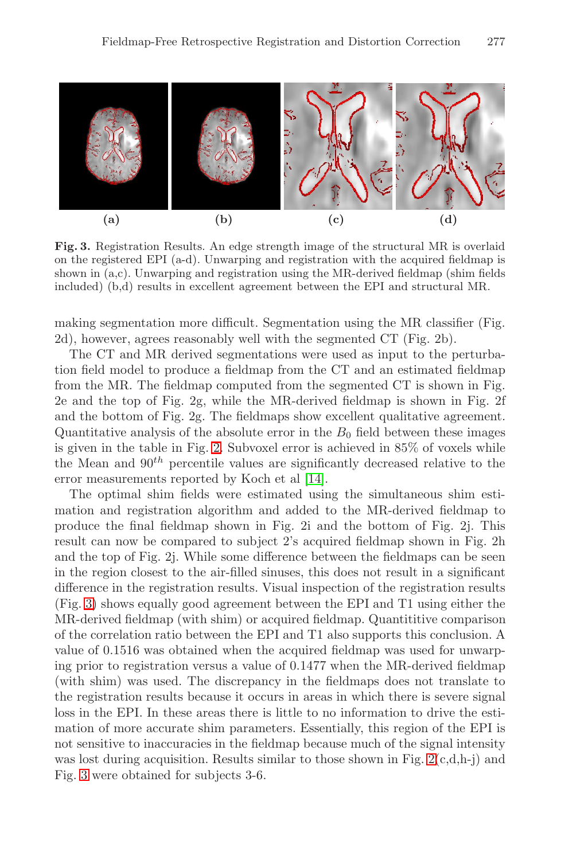

**Fig. 3.** Registration Results. An edge strength image of the structural MR is overlaid on the registered EPI (a-d). Unwarping and registration with the acquired fieldmap is shown in (a,c). Unwarping and registration using the MR-derived fieldmap (shim fields included) (b,d) results in excellent agreement between the EPI and structural MR.

making segmentation more difficult. Segmentation using the MR classifier (Fig. 2d), however, agrees reasonably well with the segmented CT (Fig. 2b).

The CT and MR derived segmentations were used as input to the perturbation field model to produce a fieldmap from the CT and an estimated fieldmap from the MR. The fieldmap computed from the segmented CT is shown in Fig. 2e and the top of Fig. 2g, while the MR-derived fieldmap is shown in Fig. 2f and the bottom of Fig. 2g. The fieldmaps show excellent qualitative agreement. Quantitative analysis of the absolute error in the  $B_0$  field between these images is given in the table in Fig. 2. Subvoxel error is achieved in 85% of voxels while the Mean and 90*th* percentile values are significantly decreased relative to the error measurements reported by Koch et al [14].

The optimal shim fields were estimated using the simultaneous shim estimation and registration algorithm and added to the MR-derived fieldmap to produce the final fieldmap shown in Fig. 2i and the bottom of Fig. 2j. This result can now be compared to subject 2's acquired fieldmap shown in Fig. 2h and the top of Fig. 2j. While some difference between the fieldmaps can be seen in the region closest to the air-filled sinuses, this does not result in a significant difference in the registration results. Visual inspection of the registration results (Fig. 3) shows equally good agreement between the EPI and T1 using either the MR-derived fieldmap (with shim) or acquired fieldmap. Quantititive comparison of the correlation ratio between the EPI and T1 also supports this conclusion. A value of 0.1516 was obtained when the acquired fieldmap was used for unwarping prior to registration versus a value of 0.1477 when the MR-derived fieldmap (with shim) was used. The discrepancy in the fieldmaps does not translate to the registration results because it occurs in areas in which there is severe signal loss in the EPI. In these areas there is little to no information to drive the estimation of more accurate shim parameters. Essentially, this region of the EPI is not sensitive to inaccuracies in the fieldmap because much of the signal intensity was lost during acquisition. Results similar to those shown in Fig. 2(c,d,h-j) and Fig. 3 were obtained for subjects 3-6.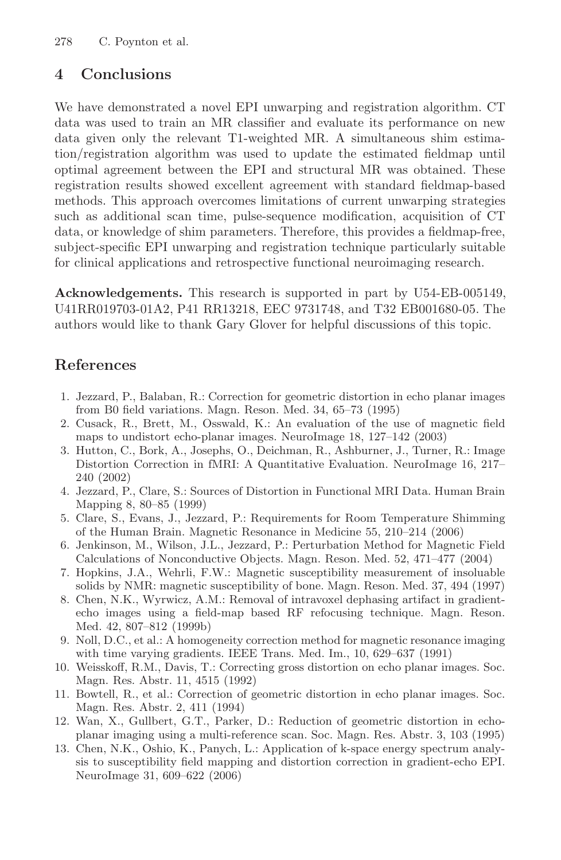## **4 Conclusions**

We have demonstrated a novel EPI unwarping and registration algorithm. CT data was used to train an MR classifier and evaluate its performance on new data given only the relevant T1-weighted MR. A simultaneous shim estimation/registration algorithm was used to update the estimated fieldmap until optimal agreement between the EPI and structural MR was obtained. These registration results showed excellent agreement with standard fieldmap-based methods. This approach overcomes limitations of current unwarping strategies such as additional scan time, pulse-sequence modification, acquisition of CT data, or knowledge of shim parameters. Therefore, this provides a fieldmap-free, subject-specific EPI unwarping and registration technique particularly suitable for clinical applications and retrospective functional neuroimaging research.

**Acknowledgements.** This research is supported in part by U54-EB-005149, U41RR019703-01A2, P41 RR13218, EEC 9731748, and T32 EB001680-05. The authors would like to thank Gary Glover for helpful discussions of this topic.

# **References**

- 1. Jezzard, P., Balaban, R.: Correction for geometric distortion in echo planar images from B0 field variations. Magn. Reson. Med. 34, 65–73 (1995)
- 2. Cusack, R., Brett, M., Osswald, K.: An evaluation of the use of magnetic field maps to undistort echo-planar images. NeuroImage 18, 127–142 (2003)
- 3. Hutton, C., Bork, A., Josephs, O., Deichman, R., Ashburner, J., Turner, R.: Image Distortion Correction in fMRI: A Quantitative Evaluation. NeuroImage 16, 217– 240 (2002)
- 4. Jezzard, P., Clare, S.: Sources of Distortion in Functional MRI Data. Human Brain Mapping 8, 80–85 (1999)
- 5. Clare, S., Evans, J., Jezzard, P.: Requirements for Room Temperature Shimming of the Human Brain. Magnetic Resonance in Medicine 55, 210–214 (2006)
- 6. Jenkinson, M., Wilson, J.L., Jezzard, P.: Perturbation Method for Magnetic Field Calculations of Nonconductive Objects. Magn. Reson. Med. 52, 471–477 (2004)
- 7. Hopkins, J.A., Wehrli, F.W.: Magnetic susceptibility measurement of insoluable solids by NMR: magnetic susceptibility of bone. Magn. Reson. Med. 37, 494 (1997)
- 8. Chen, N.K., Wyrwicz, A.M.: Removal of intravoxel dephasing artifact in gradientecho images using a field-map based RF refocusing technique. Magn. Reson. Med. 42, 807–812 (1999b)
- 9. Noll, D.C., et al.: A homogeneity correction method for magnetic resonance imaging with time varying gradients. IEEE Trans. Med. Im., 10, 629–637 (1991)
- 10. Weisskoff, R.M., Davis, T.: Correcting gross distortion on echo planar images. Soc. Magn. Res. Abstr. 11, 4515 (1992)
- 11. Bowtell, R., et al.: Correction of geometric distortion in echo planar images. Soc. Magn. Res. Abstr. 2, 411 (1994)
- 12. Wan, X., Gullbert, G.T., Parker, D.: Reduction of geometric distortion in echoplanar imaging using a multi-reference scan. Soc. Magn. Res. Abstr. 3, 103 (1995)
- 13. Chen, N.K., Oshio, K., Panych, L.: Application of k-space energy spectrum analysis to susceptibility field mapping and distortion correction in gradient-echo EPI. NeuroImage 31, 609–622 (2006)